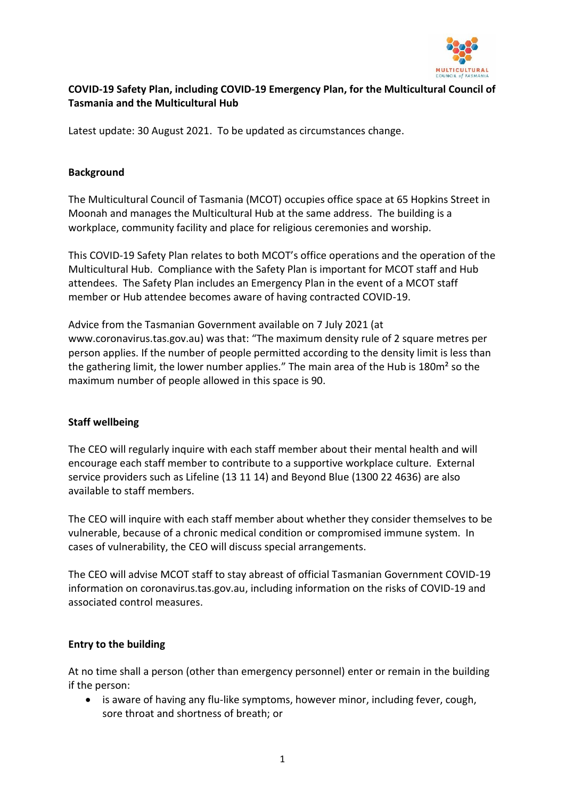

# **COVID-19 Safety Plan, including COVID-19 Emergency Plan, for the Multicultural Council of Tasmania and the Multicultural Hub**

Latest update: 30 August 2021. To be updated as circumstances change.

#### **Background**

The Multicultural Council of Tasmania (MCOT) occupies office space at 65 Hopkins Street in Moonah and manages the Multicultural Hub at the same address. The building is a workplace, community facility and place for religious ceremonies and worship.

This COVID-19 Safety Plan relates to both MCOT's office operations and the operation of the Multicultural Hub. Compliance with the Safety Plan is important for MCOT staff and Hub attendees. The Safety Plan includes an Emergency Plan in the event of a MCOT staff member or Hub attendee becomes aware of having contracted COVID-19.

Advice from the Tasmanian Government available on 7 July 2021 (at www.coronavirus.tas.gov.au) was that: "The maximum density rule of 2 square metres per person applies. If the number of people permitted according to the density limit is less than the gathering limit, the lower number applies." The main area of the Hub is 180m² so the maximum number of people allowed in this space is 90.

#### **Staff wellbeing**

The CEO will regularly inquire with each staff member about their mental health and will encourage each staff member to contribute to a supportive workplace culture. External service providers such as Lifeline (13 11 14) and Beyond Blue (1300 22 4636) are also available to staff members.

The CEO will inquire with each staff member about whether they consider themselves to be vulnerable, because of a chronic medical condition or compromised immune system. In cases of vulnerability, the CEO will discuss special arrangements.

The CEO will advise MCOT staff to stay abreast of official Tasmanian Government COVID-19 information on coronavirus.tas.gov.au, including information on the risks of COVID-19 and associated control measures.

## **Entry to the building**

At no time shall a person (other than emergency personnel) enter or remain in the building if the person:

• is aware of having any flu-like symptoms, however minor, including fever, cough, sore throat and shortness of breath; or